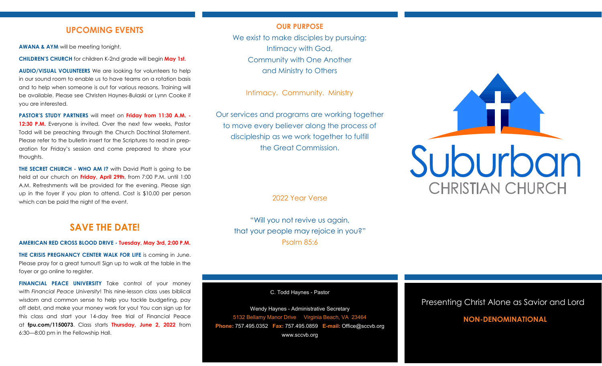## **UPCOMING EVENTS**

**AWANA & AYM** will be meeting tonight.

**CHILDREN'S CHURCH** for children K-2nd grade will begin **May 1st.** 

**AUDIO/VISUAL VOLUNTEERS** We are looking for volunteers to help in our sound room to enable us to have teams on a rotation basis and to help when someone is out for various reasons. Training will be available. Please see Christen Haynes-Bulaski or Lynn Cooke if you are interested.

**PASTOR'S STUDY PARTNERS** will meet on **Friday from 11:30 A.M. - 12:30 P.M.** Everyone is invited. Over the next few weeks, Pastor Todd will be preaching through the Church Doctrinal Statement. Please refer to the bulletin insert for the Scriptures to read in preparation for Friday's session and come prepared to share your thoughts.

**THE SECRET CHURCH - WHO AM I?** with David Platt is going to be held at our church on **Friday, April 29th**, from 7:00 P.M. until 1:00 A.M. Refreshments will be provided for the evening. Please sign up in the foyer if you plan to attend. Cost is \$10.00 per person which can be paid the night of the event.

# **SAVE THE DATE!**

#### **AMERICAN RED CROSS BLOOD DRIVE - Tuesday, May 3rd, 2:00 P.M.**

**THE CRISIS PREGNANCY CENTER WALK FOR LIFE** is coming in June. Please pray for a great turnout! Sign up to walk at the table in the foyer or go online to register.

**FINANCIAL PEACE UNIVERSITY** Take control of your money with *Financial Peace University*! This nine-lesson class uses biblical wisdom and common sense to help you tackle budgeting, pay off debt, and make your money work for you! You can sign up for this class and start your 14-day free trial of Financial Peace at **fpu.com/1150073**. Class starts **Thursday, June 2, 2022** from 6:30—8:00 pm in the Fellowship Hall.

#### **OUR PURPOSE**

We exist to make disciples by pursuing: Intimacy with God, Community with One Another and Ministry to Others

Intimacy. Community. Ministry

Our services and programs are working together to move every believer along the process of discipleship as we work together to fulfill the Great Commission.

2022 Year Verse

"Will you not revive us again, that your people may rejoice in you?" Psalm 85:6

C. Todd Haynes - Pastor

Wendy Haynes - Administrative Secretary 5132 Bellamy Manor Drive Virginia Beach, VA 23464 **Phone:** 757.495.0352 **Fax:** 757.495.0859 **E-mail:** Office@sccvb.org www.sccvb.org



### Presenting Christ Alone as Savior and Lord

## **NON-DENOMINATIONAL**